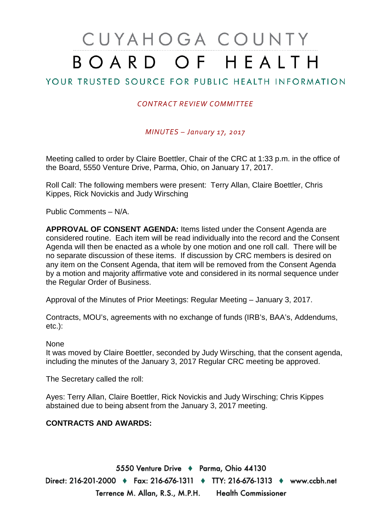# CUYAHOGA COUNTY BOARD OF HEALTH

# YOUR TRUSTED SOURCE FOR PUBLIC HEALTH INFORMATION

## *CONTRACT REVIEW COMMITTEE*

*MINUTES – January 17, 2017*

Meeting called to order by Claire Boettler, Chair of the CRC at 1:33 p.m. in the office of the Board, 5550 Venture Drive, Parma, Ohio, on January 17, 2017.

Roll Call: The following members were present: Terry Allan, Claire Boettler, Chris Kippes, Rick Novickis and Judy Wirsching

Public Comments – N/A.

**APPROVAL OF CONSENT AGENDA:** Items listed under the Consent Agenda are considered routine. Each item will be read individually into the record and the Consent Agenda will then be enacted as a whole by one motion and one roll call. There will be no separate discussion of these items. If discussion by CRC members is desired on any item on the Consent Agenda, that item will be removed from the Consent Agenda by a motion and majority affirmative vote and considered in its normal sequence under the Regular Order of Business.

Approval of the Minutes of Prior Meetings: Regular Meeting – January 3, 2017.

Contracts, MOU's, agreements with no exchange of funds (IRB's, BAA's, Addendums, etc.):

None

It was moved by Claire Boettler, seconded by Judy Wirsching, that the consent agenda, including the minutes of the January 3, 2017 Regular CRC meeting be approved.

The Secretary called the roll:

Ayes: Terry Allan, Claire Boettler, Rick Novickis and Judy Wirsching; Chris Kippes abstained due to being absent from the January 3, 2017 meeting.

### **CONTRACTS AND AWARDS:**

5550 Venture Drive + Parma, Ohio 44130 Direct: 216-201-2000 ♦ Fax: 216-676-1311 ♦ TTY: 216-676-1313 ♦ www.ccbh.net Terrence M. Allan, R.S., M.P.H. Health Commissioner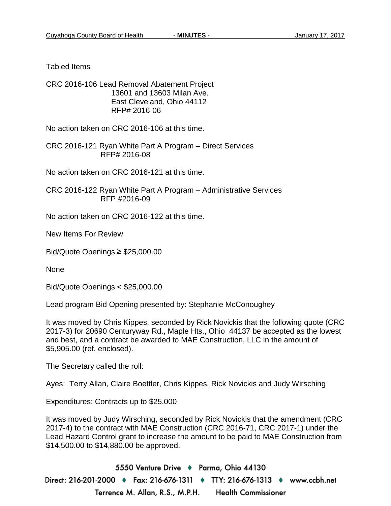Tabled Items

CRC 2016-106 Lead Removal Abatement Project 13601 and 13603 Milan Ave. East Cleveland, Ohio 44112 RFP# 2016-06

No action taken on CRC 2016-106 at this time.

CRC 2016-121 Ryan White Part A Program – Direct Services RFP# 2016-08

No action taken on CRC 2016-121 at this time.

CRC 2016-122 Ryan White Part A Program – Administrative Services RFP #2016-09

No action taken on CRC 2016-122 at this time.

New Items For Review

Bid/Quote Openings ≥ \$25,000.00

None

Bid/Quote Openings < \$25,000.00

Lead program Bid Opening presented by: Stephanie McConoughey

It was moved by Chris Kippes, seconded by Rick Novickis that the following quote (CRC 2017-3) for 20690 Centuryway Rd., Maple Hts., Ohio 44137 be accepted as the lowest and best, and a contract be awarded to MAE Construction, LLC in the amount of \$5,905.00 (ref. enclosed).

The Secretary called the roll:

Ayes: Terry Allan, Claire Boettler, Chris Kippes, Rick Novickis and Judy Wirsching

Expenditures: Contracts up to \$25,000

It was moved by Judy Wirsching, seconded by Rick Novickis that the amendment (CRC 2017-4) to the contract with MAE Construction (CRC 2016-71, CRC 2017-1) under the Lead Hazard Control grant to increase the amount to be paid to MAE Construction from \$14,500.00 to \$14,880.00 be approved.

5550 Venture Drive + Parma, Ohio 44130 Direct: 216-201-2000 ♦ Fax: 216-676-1311 ♦ TTY: 216-676-1313 ♦ www.ccbh.net Terrence M. Allan, R.S., M.P.H. Health Commissioner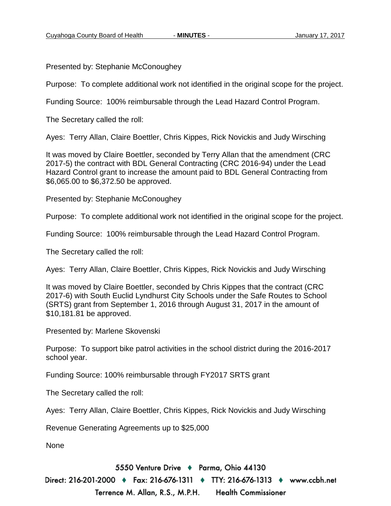Presented by: Stephanie McConoughey

Purpose: To complete additional work not identified in the original scope for the project.

Funding Source: 100% reimbursable through the Lead Hazard Control Program.

The Secretary called the roll:

Ayes: Terry Allan, Claire Boettler, Chris Kippes, Rick Novickis and Judy Wirsching

It was moved by Claire Boettler, seconded by Terry Allan that the amendment (CRC 2017-5) the contract with BDL General Contracting (CRC 2016-94) under the Lead Hazard Control grant to increase the amount paid to BDL General Contracting from \$6,065.00 to \$6,372.50 be approved.

Presented by: Stephanie McConoughey

Purpose: To complete additional work not identified in the original scope for the project.

Funding Source: 100% reimbursable through the Lead Hazard Control Program.

The Secretary called the roll:

Ayes: Terry Allan, Claire Boettler, Chris Kippes, Rick Novickis and Judy Wirsching

It was moved by Claire Boettler, seconded by Chris Kippes that the contract (CRC 2017-6) with South Euclid Lyndhurst City Schools under the Safe Routes to School (SRTS) grant from September 1, 2016 through August 31, 2017 in the amount of \$10,181.81 be approved.

Presented by: Marlene Skovenski

Purpose: To support bike patrol activities in the school district during the 2016-2017 school year.

Funding Source: 100% reimbursable through FY2017 SRTS grant

The Secretary called the roll:

Ayes: Terry Allan, Claire Boettler, Chris Kippes, Rick Novickis and Judy Wirsching

Revenue Generating Agreements up to \$25,000

None

5550 Venture Drive + Parma, Ohio 44130

Direct: 216-201-2000 ♦ Fax: 216-676-1311 ♦ TTY: 216-676-1313 ♦ www.ccbh.net Terrence M. Allan, R.S., M.P.H. **Health Commissioner**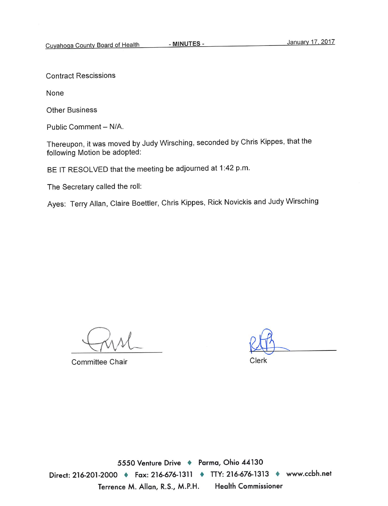**Contract Rescissions** 

None

**Other Business** 

Public Comment - N/A.

Thereupon, it was moved by Judy Wirsching, seconded by Chris Kippes, that the following Motion be adopted:

BE IT RESOLVED that the meeting be adjourned at 1:42 p.m.

The Secretary called the roll:

Ayes: Terry Allan, Claire Boettler, Chris Kippes, Rick Novickis and Judy Wirsching

**Committee Chair** 

Clerk

5550 Venture Drive + Parma, Ohio 44130 Direct: 216-201-2000 ♦ Fax: 216-676-1311 ♦ TTY: 216-676-1313 ♦ www.ccbh.net **Health Commissioner** Terrence M. Allan, R.S., M.P.H.